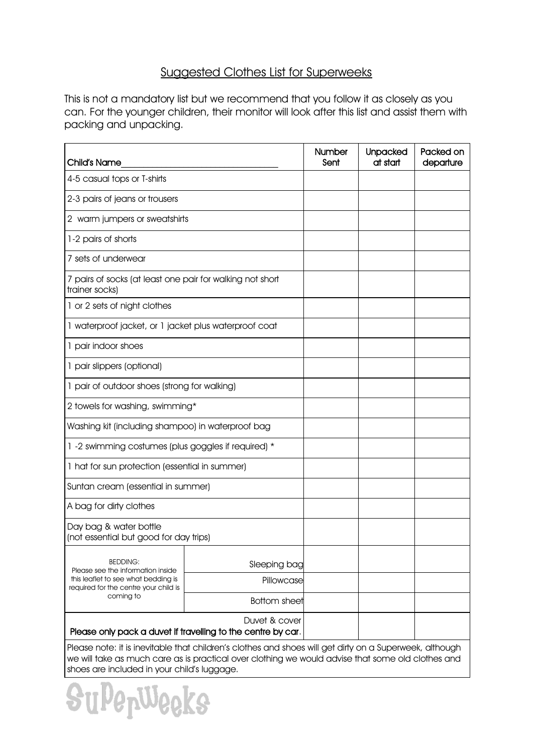## Suggested Clothes List for Superweeks

This is not a mandatory list but we recommend that you follow it as closely as you can. For the younger children, their monitor will look after this list and assist them with packing and unpacking.

| Child's Name                                                                                                                                                                                                 | Number<br>Sent      | <b>Unpacked</b><br>at start | Packed on<br>departure |  |  |
|--------------------------------------------------------------------------------------------------------------------------------------------------------------------------------------------------------------|---------------------|-----------------------------|------------------------|--|--|
| 4-5 casual tops or T-shirts                                                                                                                                                                                  |                     |                             |                        |  |  |
| 2-3 pairs of jeans or trousers                                                                                                                                                                               |                     |                             |                        |  |  |
| 2 warm jumpers or sweatshirts                                                                                                                                                                                |                     |                             |                        |  |  |
| 1-2 pairs of shorts                                                                                                                                                                                          |                     |                             |                        |  |  |
| 7 sets of underwear                                                                                                                                                                                          |                     |                             |                        |  |  |
| 7 pairs of socks (at least one pair for walking not short<br>trainer socks)                                                                                                                                  |                     |                             |                        |  |  |
| 1 or 2 sets of night clothes                                                                                                                                                                                 |                     |                             |                        |  |  |
| 1 waterproof jacket, or 1 jacket plus waterproof coat                                                                                                                                                        |                     |                             |                        |  |  |
| 1 pair indoor shoes                                                                                                                                                                                          |                     |                             |                        |  |  |
| 1 pair slippers (optional)                                                                                                                                                                                   |                     |                             |                        |  |  |
| 1 pair of outdoor shoes (strong for walking)                                                                                                                                                                 |                     |                             |                        |  |  |
| 2 towels for washing, swimming*                                                                                                                                                                              |                     |                             |                        |  |  |
| Washing kit (including shampoo) in waterproof bag                                                                                                                                                            |                     |                             |                        |  |  |
| 1 -2 swimming costumes (plus goggles if required) *                                                                                                                                                          |                     |                             |                        |  |  |
| 1 hat for sun protection (essential in summer)                                                                                                                                                               |                     |                             |                        |  |  |
| Suntan cream (essential in summer)                                                                                                                                                                           |                     |                             |                        |  |  |
| A bag for dirty clothes                                                                                                                                                                                      |                     |                             |                        |  |  |
| Day bag & water bottle<br>(not essential but good for day trips)                                                                                                                                             |                     |                             |                        |  |  |
| <b>BEDDING:</b><br>Please see the information inside<br>this leaflet to see what bedding is<br>required for the centre your child is<br>coming to                                                            | Sleeping bag        |                             |                        |  |  |
|                                                                                                                                                                                                              | Pillowcase          |                             |                        |  |  |
|                                                                                                                                                                                                              | <b>Bottom sheet</b> |                             |                        |  |  |
| Please only pack a duvet if travelling to the centre by car.                                                                                                                                                 |                     |                             |                        |  |  |
| Please note: it is inevitable that children's clothes and shoes will get dirty on a Superweek, although<br>we will take as much care as is practical over clothing we would advise that some old clothes and |                     |                             |                        |  |  |

shoes are included in your child's luggage.

uPepWeeks